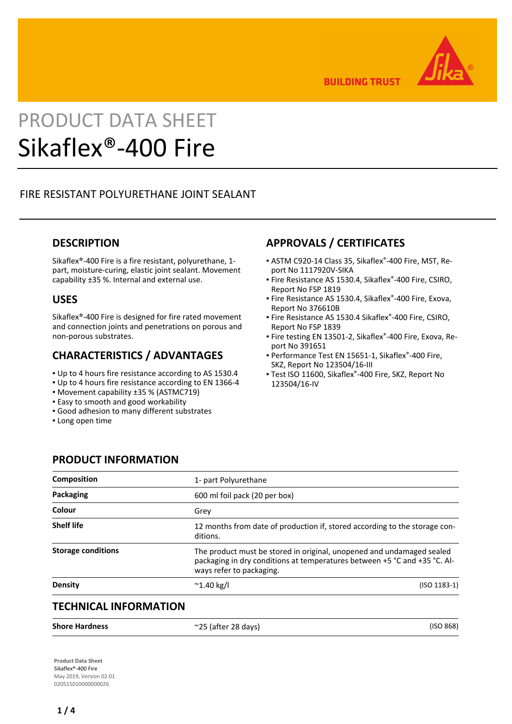

**BUILDING TRUST** 

# PRODUCT DATA SHEET Sikaflex®-400 Fire

# FIRE RESISTANT POLYURETHANE JOINT SEALANT

## **DESCRIPTION**

Sikaflex®-400 Fire is a fire resistant, polyurethane, 1 part, moisture-curing, elastic joint sealant. Movement capability ±35 %. Internal and external use.

## **USES**

Sikaflex®-400 Fire is designed for fire rated movement and connection joints and penetrations on porous and non-porous substrates.

## **CHARACTERISTICS / ADVANTAGES**

- Up to 4 hours fire resistance according to AS 1530.4
- Up to 4 hours fire resistance according to EN 1366-4
- Movement capability ±35 % (ASTMC719)
- **Easy to smooth and good workability**

**PRODUCT INFORMATION**

- Good adhesion to many different substrates
- **.** Long open time

# **APPROVALS / CERTIFICATES**

- ASTM C920-14 Class 35, Sikaflex®-400 Fire, MST, Re-▪ port No 1117920V-SIKA
- **Fire Resistance AS 1530.4, Sikaflex®-400 Fire, CSIRO,** Report No FSP 1819
- Fire Resistance AS 1530.4, Sikaflex®-400 Fire, Exova, Report No 376610B
- Fire Resistance AS 1530.4 Sikaflex®-400 Fire, CSIRO, Report No FSP 1839
- Fire testing EN 13501-2, Sikaflex®-400 Fire, Exova, Report No 391651
- Performance Test EN 15651-1, Sikaflex®-400 Fire, SKZ, Report No 123504/16-III
- Test ISO 11600, Sikaflex®-400 Fire, SKZ, Report No 123504/16-IV

| <b>Composition</b>        | 1- part Polyurethane          |                                                                                                                                                    |  |  |
|---------------------------|-------------------------------|----------------------------------------------------------------------------------------------------------------------------------------------------|--|--|
| Packaging                 | 600 ml foil pack (20 per box) |                                                                                                                                                    |  |  |
| Colour                    | Grev                          |                                                                                                                                                    |  |  |
| <b>Shelf life</b>         | ditions.                      | 12 months from date of production if, stored according to the storage con-                                                                         |  |  |
| <b>Storage conditions</b> | ways refer to packaging.      | The product must be stored in original, unopened and undamaged sealed<br>packaging in dry conditions at temperatures between +5 °C and +35 °C. Al- |  |  |
| <b>Density</b>            | $^{\sim}$ 1.40 kg/l           | $(ISO 1183-1)$                                                                                                                                     |  |  |
|                           |                               |                                                                                                                                                    |  |  |

# **TECHNICAL INFORMATION**

**Product Data Sheet** Sikaflex®-400 Fire May 2019, Version 02.01 020515010000000026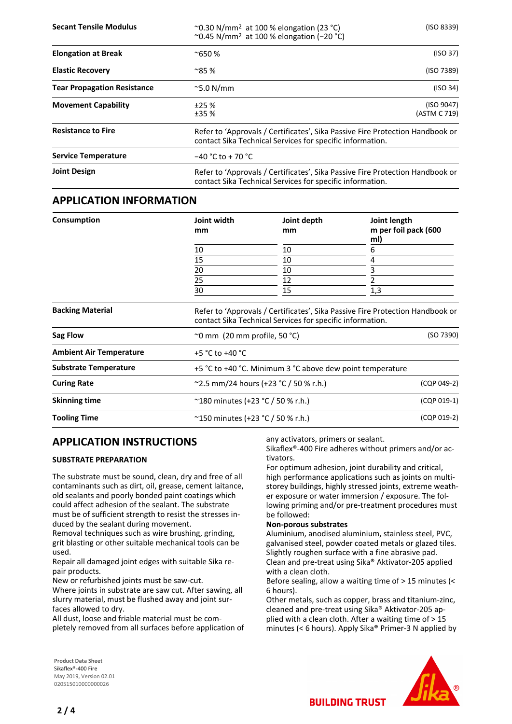**Secant Tensile Modulus** ~0.30 N/mm2 at 100 % elongation (23 °C) (ISO 8339) ~0.45 N/mm2 at 100 % elongation (−20 °C)

| <b>Elongation at Break</b>         | $^{\sim}650%$                                                                                                                              | (ISO 37)                   |  |
|------------------------------------|--------------------------------------------------------------------------------------------------------------------------------------------|----------------------------|--|
| <b>Elastic Recovery</b>            | $^{\sim}85%$                                                                                                                               | (ISO 7389)                 |  |
| <b>Tear Propagation Resistance</b> | $\sim$ 5.0 N/mm                                                                                                                            | (ISO 34)                   |  |
| <b>Movement Capability</b>         | ±25%<br>±35%                                                                                                                               | (ISO 9047)<br>(ASTM C 719) |  |
| <b>Resistance to Fire</b>          | Refer to 'Approvals / Certificates', Sika Passive Fire Protection Handbook or<br>contact Sika Technical Services for specific information. |                            |  |
| <b>Service Temperature</b>         | $-40 °C$ to + 70 $°C$                                                                                                                      |                            |  |
| <b>Joint Design</b>                | Refer to 'Approvals / Certificates', Sika Passive Fire Protection Handbook or<br>contact Sika Technical Services for specific information. |                            |  |

### **APPLICATION INFORMATION**

| Consumption                    | Joint width<br>mm                                                      | Joint depth<br>mm                                           | Joint length<br>m per foil pack (600<br>ml) |                         |  |                                                                                                                                            |  |  |  |
|--------------------------------|------------------------------------------------------------------------|-------------------------------------------------------------|---------------------------------------------|-------------------------|--|--------------------------------------------------------------------------------------------------------------------------------------------|--|--|--|
|                                | 10                                                                     | 10                                                          | 6                                           |                         |  |                                                                                                                                            |  |  |  |
|                                | 15                                                                     | 10                                                          | 4                                           |                         |  |                                                                                                                                            |  |  |  |
|                                | 20<br>25<br>30                                                         | 10<br>12<br>15                                              | 3<br>1,3                                    |                         |  |                                                                                                                                            |  |  |  |
|                                |                                                                        |                                                             |                                             | <b>Backing Material</b> |  | Refer to 'Approvals / Certificates', Sika Passive Fire Protection Handbook or<br>contact Sika Technical Services for specific information. |  |  |  |
|                                |                                                                        |                                                             |                                             | Sag Flow                |  | (SO 7390)<br>$\sim$ 0 mm (20 mm profile, 50 °C)                                                                                            |  |  |  |
| <b>Ambient Air Temperature</b> | +5 °C to +40 °C                                                        |                                                             |                                             |                         |  |                                                                                                                                            |  |  |  |
| <b>Substrate Temperature</b>   | +5 °C to +40 °C. Minimum 3 °C above dew point temperature              |                                                             |                                             |                         |  |                                                                                                                                            |  |  |  |
| <b>Curing Rate</b>             | (CQP 049-2)<br>$\degree$ 2.5 mm/24 hours (+23 $\degree$ C / 50 % r.h.) |                                                             |                                             |                         |  |                                                                                                                                            |  |  |  |
| <b>Skinning time</b>           |                                                                        | $^{\sim}$ 180 minutes (+23 °C / 50 % r.h.)<br>$(CQP 019-1)$ |                                             |                         |  |                                                                                                                                            |  |  |  |
| <b>Tooling Time</b>            | ~150 minutes (+23 °C / 50 % r.h.)                                      |                                                             | (CQP 019-2)                                 |                         |  |                                                                                                                                            |  |  |  |

## **APPLICATION INSTRUCTIONS**

#### **SUBSTRATE PREPARATION**

The substrate must be sound, clean, dry and free of all contaminants such as dirt, oil, grease, cement laitance, old sealants and poorly bonded paint coatings which could affect adhesion of the sealant. The substrate must be of sufficient strength to resist the stresses induced by the sealant during movement.

Removal techniques such as wire brushing, grinding, grit blasting or other suitable mechanical tools can be used.

Repair all damaged joint edges with suitable Sika repair products.

New or refurbished joints must be saw-cut.

Where joints in substrate are saw cut. After sawing, all slurry material, must be flushed away and joint surfaces allowed to dry.

All dust, loose and friable material must be completely removed from all surfaces before application of any activators, primers or sealant.

Sikaflex®-400 Fire adheres without primers and/or activators.

For optimum adhesion, joint durability and critical, high performance applications such as joints on multistorey buildings, highly stressed joints, extreme weather exposure or water immersion / exposure. The following priming and/or pre-treatment procedures must be followed:

#### **Non-porous substrates**

Aluminium, anodised aluminium, stainless steel, PVC, galvanised steel, powder coated metals or glazed tiles. Slightly roughen surface with a fine abrasive pad. Clean and pre-treat using Sika® Aktivator-205 applied with a clean cloth.

Before sealing, allow a waiting time of > 15 minutes (< 6 hours).

Other metals, such as copper, brass and titanium-zinc, cleaned and pre-treat using Sika® Aktivator-205 applied with a clean cloth. After a waiting time of > 15 minutes (< 6 hours). Apply Sika® Primer-3 N applied by

**BUILDING TRUST** 

**Product Data Sheet** Sikaflex®-400 Fire May 2019, Version 02.01 020515010000000026

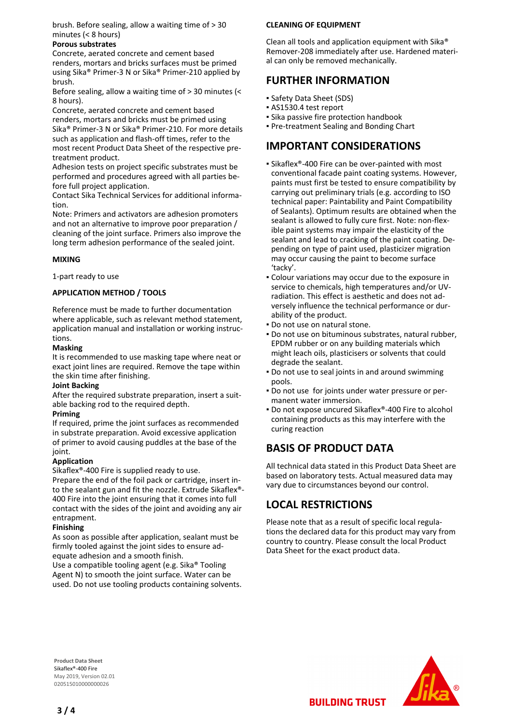brush. Before sealing, allow a waiting time of > 30 minutes (< 8 hours)

#### **Porous substrates**

Concrete, aerated concrete and cement based renders, mortars and bricks surfaces must be primed using Sika® Primer-3 N or Sika® Primer-210 applied by brush.

Before sealing, allow a waiting time of > 30 minutes (< 8 hours).

Concrete, aerated concrete and cement based renders, mortars and bricks must be primed using Sika® Primer-3 N or Sika® Primer-210. For more details such as application and flash-off times, refer to the most recent Product Data Sheet of the respective pretreatment product.

Adhesion tests on project specific substrates must be performed and procedures agreed with all parties before full project application.

Contact Sika Technical Services for additional information.

Note: Primers and activators are adhesion promoters and not an alternative to improve poor preparation / cleaning of the joint surface. Primers also improve the long term adhesion performance of the sealed joint.

#### **MIXING**

1-part ready to use

#### **APPLICATION METHOD / TOOLS**

Reference must be made to further documentation where applicable, such as relevant method statement, application manual and installation or working instructions.

#### **Masking**

It is recommended to use masking tape where neat or exact joint lines are required. Remove the tape within the skin time after finishing.

#### **Joint Backing**

After the required substrate preparation, insert a suitable backing rod to the required depth.

#### **Priming**

If required, prime the joint surfaces as recommended in substrate preparation. Avoid excessive application of primer to avoid causing puddles at the base of the joint.

#### **Application**

Sikaflex®-400 Fire is supplied ready to use.

Prepare the end of the foil pack or cartridge, insert into the sealant gun and fit the nozzle. Extrude Sikaflex®- 400 Fire into the joint ensuring that it comes into full contact with the sides of the joint and avoiding any air entrapment.

#### **Finishing**

As soon as possible after application, sealant must be firmly tooled against the joint sides to ensure adequate adhesion and a smooth finish.

Use a compatible tooling agent (e.g. Sika® Tooling Agent N) to smooth the joint surface. Water can be used. Do not use tooling products containing solvents.

#### **CLEANING OF EQUIPMENT**

Clean all tools and application equipment with Sika® Remover-208 immediately after use. Hardened material can only be removed mechanically.

## **FURTHER INFORMATION**

- Safety Data Sheet (SDS)
- AS1530.4 test report
- **.** Sika passive fire protection handbook
- Pre-treatment Sealing and Bonding Chart

## **IMPORTANT CONSIDERATIONS**

- Sikaflex®-400 Fire can be over-painted with most conventional facade paint coating systems. However, paints must first be tested to ensure compatibility by carrying out preliminary trials (e.g. according to ISO technical paper: Paintability and Paint Compatibility of Sealants). Optimum results are obtained when the sealant is allowed to fully cure first. Note: non-flexible paint systems may impair the elasticity of the sealant and lead to cracking of the paint coating. Depending on type of paint used, plasticizer migration may occur causing the paint to become surface 'tacky'.
- Colour variations may occur due to the exposure in service to chemicals, high temperatures and/or UVradiation. This effect is aesthetic and does not adversely influence the technical performance or durability of the product.
- Do not use on natural stone.
- Do not use on bituminous substrates, natural rubber, EPDM rubber or on any building materials which might leach oils, plasticisers or solvents that could degrade the sealant.
- **Do not use to seal joints in and around swimming** pools.
- Do not use for joints under water pressure or per-▪ manent water immersion.
- Do not expose uncured Sikaflex®-400 Fire to alcohol containing products as this may interfere with the curing reaction

# **BASIS OF PRODUCT DATA**

All technical data stated in this Product Data Sheet are based on laboratory tests. Actual measured data may vary due to circumstances beyond our control.

# **LOCAL RESTRICTIONS**

Please note that as a result of specific local regulations the declared data for this product may vary from country to country. Please consult the local Product Data Sheet for the exact product data.

**BUILDING TRUST** 

**Product Data Sheet** Sikaflex®-400 Fire May 2019, Version 02.01 020515010000000026